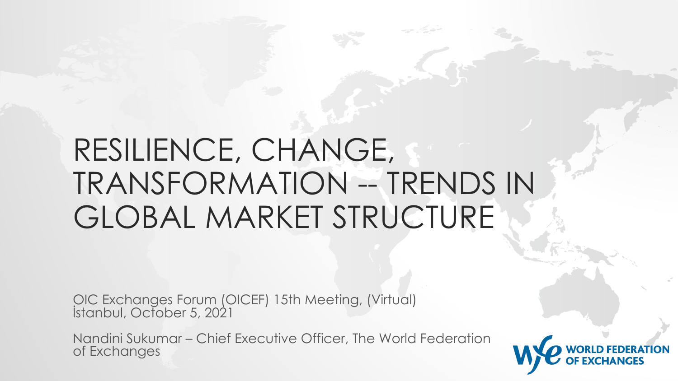## RESILIENCE, CHANGE, TRANSFORMATION -- TRENDS IN GLOBAL MARKET STRUCTURE

OIC Exchanges Forum (OICEF) 15th Meeting, (Virtual) İstanbul, October 5, 2021

Nandini Sukumar – Chief Executive Officer, The World Federation of Exchanges

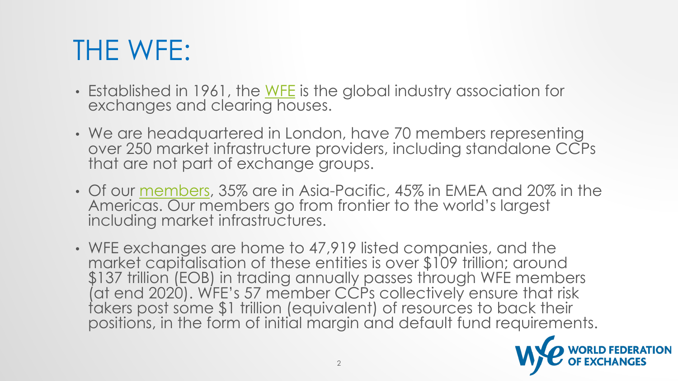## THE WFE:

- Established in 1961, the <u>WFE</u> is the global indus<br>exchanges and clearing houses.
- We are headquartered in London, have 70 members over 250 market infrastructure providers, including that are not part of exchange groups.
- Of our members, 35% are in Asia-Pacific, 45% in Americas. Our members go from frontier to the including market infrastructures.
- WFE exchanges are home to 47,919 listed con market capitalisation of these entities is over \$ \$137 trillion (EOB) in trading annually passes th (at end 2020). WFE's 57 member CCPs collect takers post some \$1 trillion (equivalent) of reso positions, in the form of initial margin and defc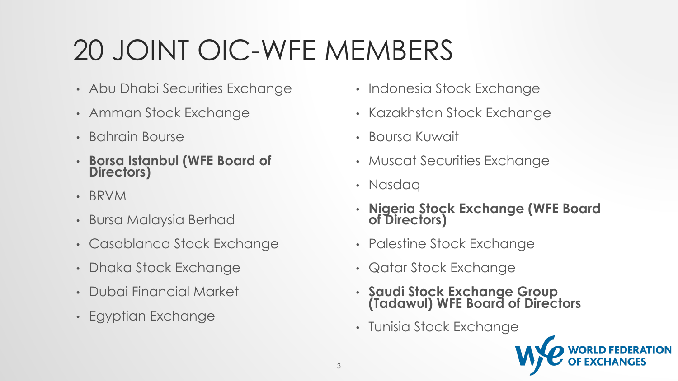# 20 JOINT OIC-WFE MEMBERS

- Abu Dhabi Securities Exchange
- Amman Stock Exchange
- Bahrain Bourse
- **Borsa Istanbul (WFE Board of Directors)**
- BRVM
- Bursa Malaysia Berhad
- Casablanca Stock Exchange
- Dhaka Stock Exchange
- Dubai Financial Market
- Egyptian Exchange
- Indonesia Stock Exchange
- Kazakhstan Stock Exchange
- Boursa Kuwait
- Muscat Securities Exchange
- Nasdaq
- **Nigeria Stock Exchange (WFE Board of Directors)**
- Palestine Stock Exchange
- Qatar Stock Exchange
- **Saudi Stock Exchange Group (Tadawul) WFE Board of Directors**
- Tunisia Stock Exchange

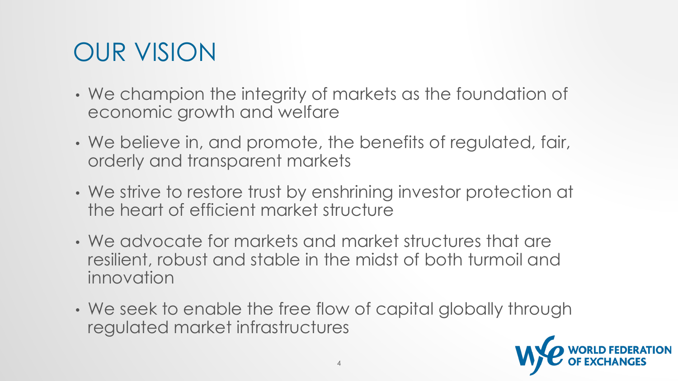### OUR VISION

- We champion the integrity of markets as the foundation of economic growth and welfare
- We believe in, and promote, the benefits of regulated, fair, orderly and transparent markets
- We strive to restore trust by enshrining investor protection at the heart of efficient market structure
- We advocate for markets and market structures that are resilient, robust and stable in the midst of both turmoil and innovation
- We seek to enable the free flow of capital globally through regulated market infrastructures

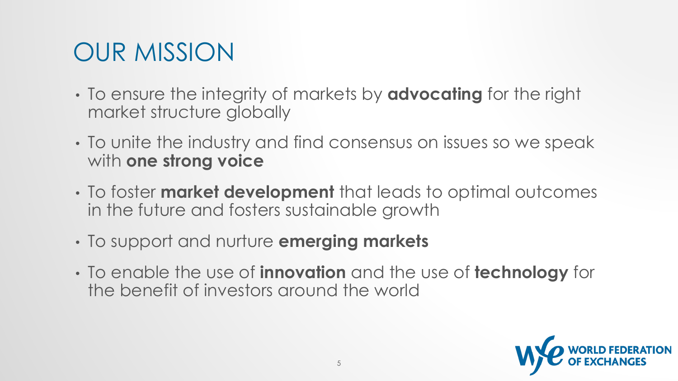### OUR MISSION

- To ensure the integrity of markets by **advocating** for the right market structure globally
- To unite the industry and find consensus on issues so we speak with **one strong voice**
- To foster **market development** that leads to optimal outcomes in the future and fosters sustainable growth
- To support and nurture **emerging markets**
- To enable the use of **innovation** and the use of **technology** for the benefit of investors around the world

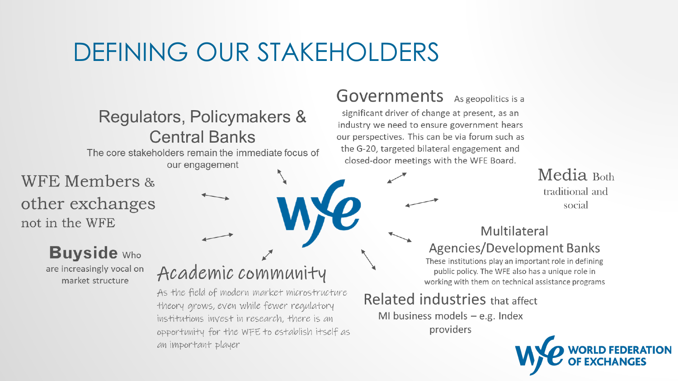#### DEFINING OUR STAKEHOLDERS

Regulators, Policymakers & **Central Banks** The core stakeholders remain the immediate focus of our engagement **WFE Members &** other exchanges not in the WFE **Buyside** Who are increasingly vocal on market structure

#### Academic community

As the field of modern market microstructure theory grows, even while fewer regulatory institutions invest in research, there is an opportunity for the WFE to establish itself as an important player

#### **Governments** As geopolitics is a

significant driver of change at present, as an industry we need to ensure government hears our perspectives. This can be via forum such as the G-20, targeted bilateral engagement and closed-door meetings with the WFE Board.

Media Both traditional and social

#### Multilateral **Agencies/Development Banks**

These institutions play an important role in defining public policy. The WFE also has a unique role in working with them on technical assistance programs

#### Related industries that affect

MI business models  $-$  e.g. Index providers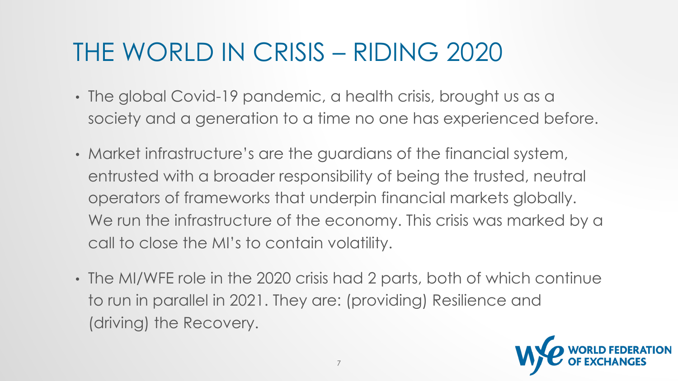### THE WORLD IN CRISIS – RIDING 2020

- The global Covid-19 pandemic, a health crisis, brought us as a society and a generation to a time no one has experienced before.
- Market infrastructure's are the guardians of the financial system, entrusted with a broader responsibility of being the trusted, neutral operators of frameworks that underpin financial markets globally. We run the infrastructure of the economy. This crisis was marked by a call to close the MI's to contain volatility.
- The MI/WFE role in the 2020 crisis had 2 parts, both of which continue to run in parallel in 2021. They are: (providing) Resilience and (driving) the Recovery.

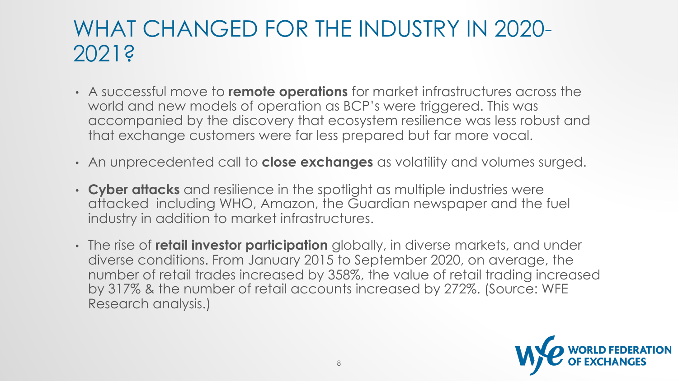#### WHAT CHANGED FOR THE INDUSTRY IN 2020- 2021?

- A successful move to **remote operations** for market infrastructures across the world and new models of operation as BCP's were triggered. This was accompanied by the discovery that ecosystem resilience was less robust and that exchange customers were far less prepared but far more vocal.
- An unprecedented call to **close exchanges** as volatility and volumes surged.
- **Cyber attacks** and resilience in the spotlight as multiple industries were attacked including WHO, Amazon, the Guardian newspaper and the fuel industry in addition to market infrastructures.
- The rise of **retail investor participation** globally, in diverse markets, and under diverse conditions. From January 2015 to September 2020, on average, the number of retail trades increased by 358%, the value of retail trading increased by 317% & the number of retail accounts increased by 272%. (Source: WFE Research analysis.)

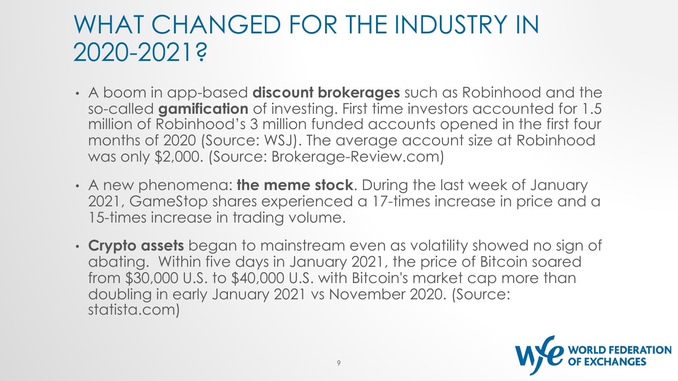#### WHAT CHANGED FOR THE INDUSTRY IN 2020-2021?

- A boom in app-based **discount brokerages** such as Robinhood and the so-called **gamification** of investing. First time investors accounted for 1.5 million of Robinhood's 3 million funded accounts opened in the first four months of 2020 (Source: WSJ). The average account size at Robinhood was only \$2,000. (Source: Brokerage-Review.com)
- A new phenomena: **the meme stock**. During the last week of January 2021, GameStop shares experienced a 17-times increase in price and a 15-times increase in trading volume.
- **Crypto assets** began to mainstream even as volatility showed no sign of abating. Within five days in January 2021, the price of Bitcoin soared from \$30,000 U.S. to \$40,000 U.S. with Bitcoin's market cap more than doubling in early January 2021 vs November 2020. (Source: statista.com)

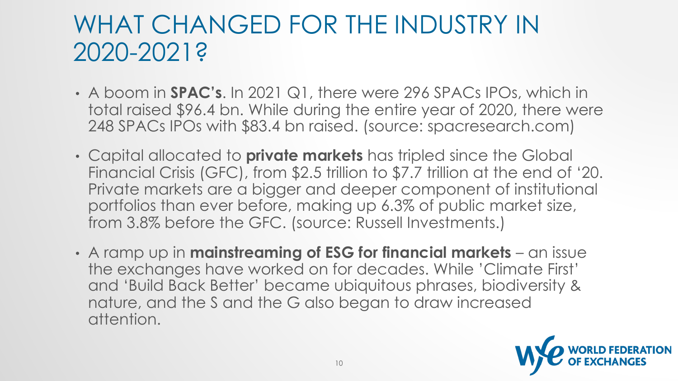#### WHAT CHANGED FOR THE INDUSTRY IN 2020-2021?

- A boom in **SPAC's**. In 2021 Q1, there were 296 SPACs IPOs, which in total raised \$96.4 bn. While during the entire year of 2020, there were 248 SPACs IPOs with \$83.4 bn raised. (source: spacresearch.com)
- Capital allocated to **private markets** has tripled since the Global Financial Crisis (GFC), from \$2.5 trillion to \$7.7 trillion at the end of '20. Private markets are a bigger and deeper component of institutional portfolios than ever before, making up 6.3% of public market size, from 3.8% before the GFC. (source: Russell Investments.)
- A ramp up in **mainstreaming of ESG for financial markets**  an issue the exchanges have worked on for decades. While 'Climate First' and 'Build Back Better' became ubiquitous phrases, biodiversity & nature, and the S and the G also began to draw increased attention.

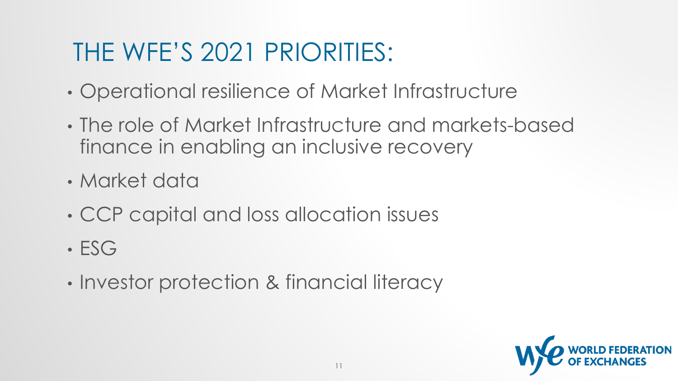## THE WFE'S 2021 PRIORITIES:

- Operational resilience of Market Infrastructure
- The role of Market Infrastructure and markets-based finance in enabling an inclusive recovery
- Market data
- CCP capital and loss allocation issues
- ESG
- Investor protection & financial literacy

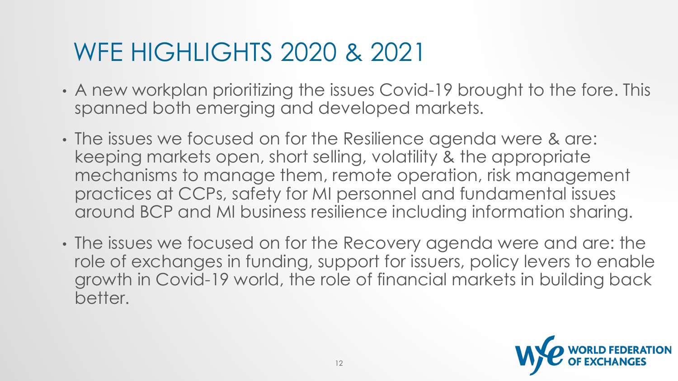### WFE HIGHLIGHTS 2020 & 2021

- A new workplan prioritizing the issues Covid-19 brought to the fore. This spanned both emerging and developed markets.
- The issues we focused on for the Resilience agenda were & are: keeping markets open, short selling, volatility & the appropriate mechanisms to manage them, remote operation, risk management practices at CCPs, safety for MI personnel and fundamental issues around BCP and MI business resilience including information sharing.
- The issues we focused on for the Recovery agenda were and are: the role of exchanges in funding, support for issuers, policy levers to enable growth in Covid-19 world, the role of financial markets in building back better.

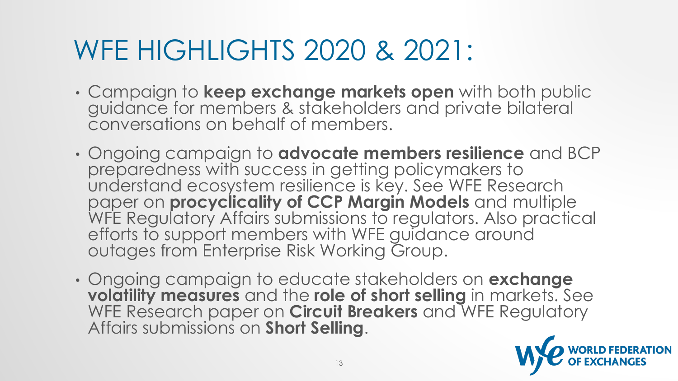## WFE HIGHLIGHTS 2020 & 2021:

- Campaign to **keep exchange markets open** with both public guidance for members & stakeholders and private bilateral conversations on behalf of members.
- Ongoing campaign to **advocate members resilience** and BCP preparedness with success in getting policymakers to understand ecosystem resilience is key. See WFE Research paper on **procyclicality of CCP Margin Models** and multiple WFE Regulatory Affairs submissions to regulators. Also practical efforts to support members with WFE guidance around outages from Enterprise Risk Working Group.
- Ongoing campaign to educate stakeholders on **exchange volatility measures** and the **role of short selling** in markets. See WFE Research paper on **Circuit Breakers** and WFE Regulatory Affairs submissions on **Short Selling**.

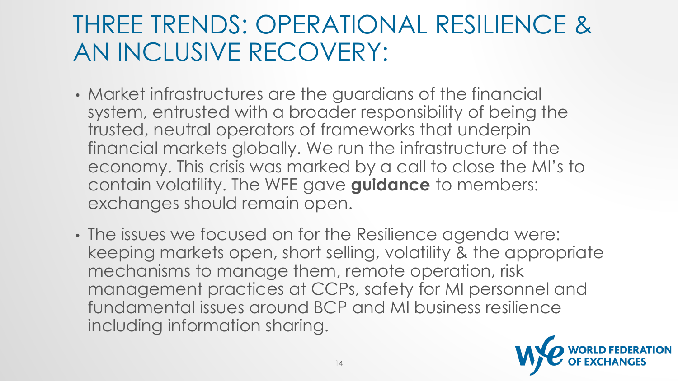#### THREE TRENDS: OPERATIONAL RESILIENCE & AN INCLUSIVE RECOVERY:

- Market infrastructures are the guardians of the financial system, entrusted with a broader responsibility of being the trusted, neutral operators of frameworks that underpin financial markets globally. We run the infrastructure of the economy. This crisis was marked by a call to close the MI's to contain volatility. The WFE gave **guidance** to members: exchanges should remain open.
- The issues we focused on for the Resilience agenda were: keeping markets open, short selling, volatility & the appropriate mechanisms to manage them, remote operation, risk management practices at CCPs, safety for MI personnel and fundamental issues around BCP and MI business resilience including information sharing.

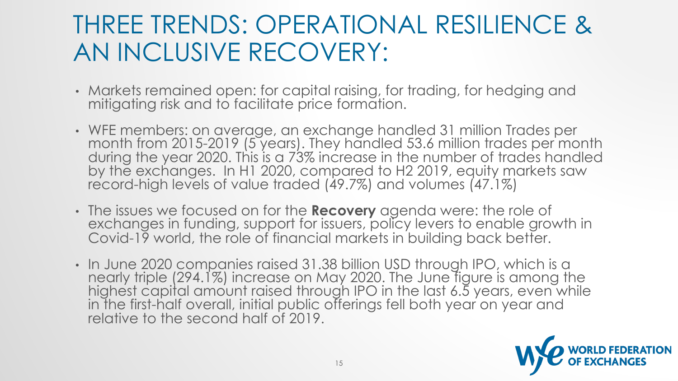#### THREE TRENDS: OPERATIONAL RESILIENCE & AN INCLUSIVE RECOVERY:

- Markets remained open: for capital raising, for trading, for hedging and mitigating risk and to facilitate price formation.
- WFE members: on average, an exchange handled 31 million Trades per month from 2015-2019 (5 years). They handled 53.6 million trades per month during the year 2020. This is a 73% increase in the number of trades handled by the exchanges. In H1 2020, compared to H2 2019, equity markets saw record-high levels of value traded (49.7%) and volumes (47.1%)
- The issues we focused on for the **Recovery** agenda were: the role of exchanges in funding, support for issuers, policy levers to enable growth in Covid-19 world, the role of financial markets in building back better.
- In June 2020 companies raised 31.38 billion USD through IPO, which is a nearly triple (294.1%) increase on May 2020. The June figure is among the highest capital amount raised through IPO in the last 6.5 years, even while in the first-half overall, initial public offerings fell both year on year and relative to the second half of 2019.

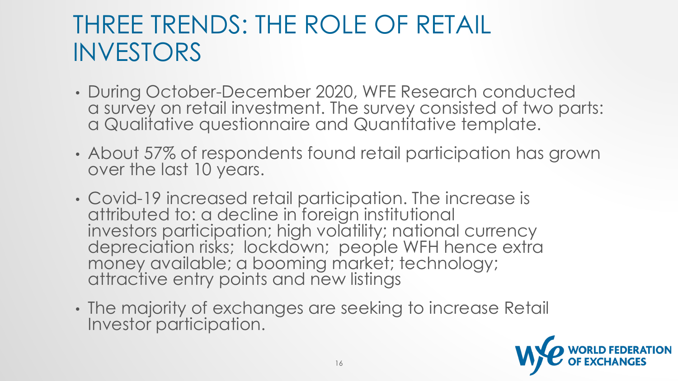#### THREE TRENDS: THE ROLE OF RETAIL INVESTORS

- During October-December 2020, WFE Research conducted a survey on retail investment. The survey consisted of two parts: a Qualitative questionnaire and Quantitative template.
- About 57% of respondents found retail participation has grown over the last 10 years.
- Covid-19 increased retail participation. The increase is attributed to: a decline in foreign institutional investors participation; high volatility; national currency depreciation risks; lockdown; people WFH hence extra money available; a booming market; technology; attractive entry points and new listings
- The majority of exchanges are seeking to increase Retail Investor participation.

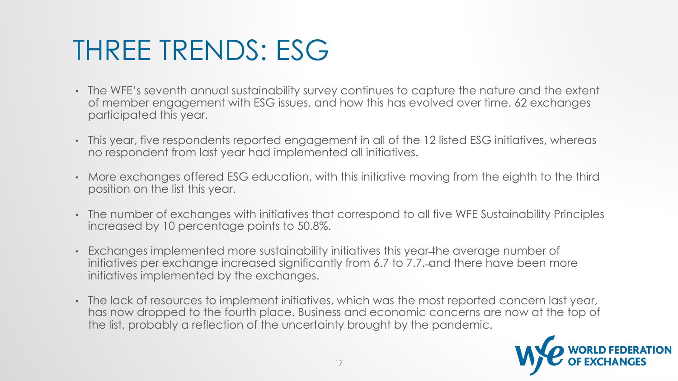## THREE TRENDS: ESG

- The WFE's seventh annual sustainability survey continues to capture the nature and the extent of member engagement with ESG issues, and how this has evolved over time. 62 exchanges participated this year.
- This year, five respondents reported engagement in all of the 12 listed ESG initiatives, whereas no respondent from last year had implemented all initiatives.
- More exchanges offered ESG education, with this initiative moving from the eighth to the third position on the list this year.
- The number of exchanges with initiatives that correspond to all five WFE Sustainability Principles increased by 10 percentage points to 50.8%.
- Exchanges implemented more sustainability initiatives this year the average number of initiatives per exchange increased significantly from 6.7 to 7.7. —and there have been more initiatives implemented by the exchanges.
- The lack of resources to implement initiatives, which was the most reported concern last year, has now dropped to the fourth place. Business and economic concerns are now at the top of the list, probably a reflection of the uncertainty brought by the pandemic.

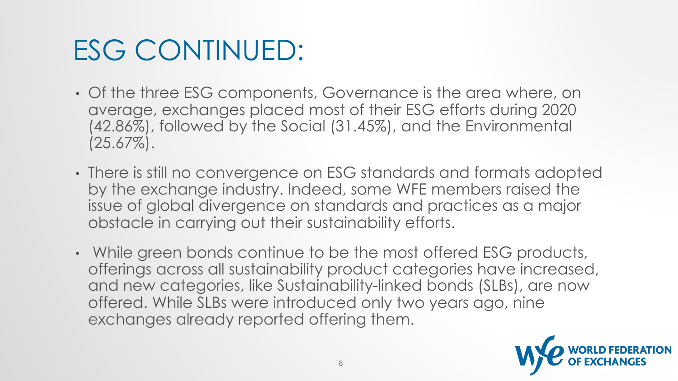## ESG CONTINUED:

- Of the three ESG components, Governance is the area where, on average, exchanges placed most of their ESG efforts during 2020 (42.86%), followed by the Social (31.45%), and the Environmental  $(25.67\%).$
- There is still no convergence on ESG standards and formats adopted by the exchange industry. Indeed, some WFE members raised the issue of global divergence on standards and practices as a major obstacle in carrying out their sustainability efforts.
- While green bonds continue to be the most offered ESG products, offerings across all sustainability product categories have increased, and new categories, like Sustainability-linked bonds (SLBs), are now offered. While SLBs were introduced only two years ago, nine exchanges already reported offering them.